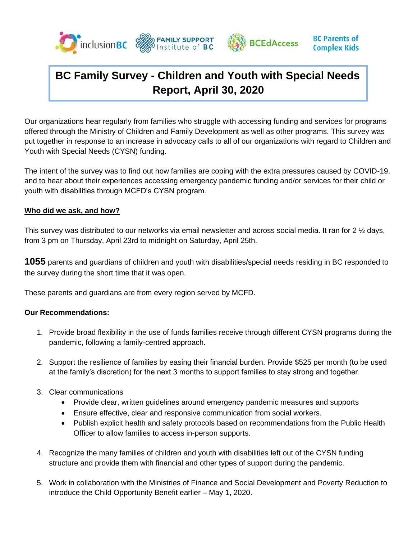



Our organizations hear regularly from families who struggle with accessing funding and services for programs offered through the Ministry of Children and Family Development as well as other programs. This survey was put together in response to an increase in advocacy calls to all of our organizations with regard to Children and Youth with Special Needs (CYSN) funding.

The intent of the survey was to find out how families are coping with the extra pressures caused by COVID-19, and to hear about their experiences accessing emergency pandemic funding and/or services for their child or youth with disabilities through MCFD's CYSN program.

#### **Who did we ask, and how?**

This survey was distributed to our networks via email newsletter and across social media. It ran for 2 ½ days, from 3 pm on Thursday, April 23rd to midnight on Saturday, April 25th.

**1055** parents and guardians of children and youth with disabilities/special needs residing in BC responded to the survey during the short time that it was open.

These parents and guardians are from every region served by MCFD.

#### **Our Recommendations:**

- 1. Provide broad flexibility in the use of funds families receive through different CYSN programs during the pandemic, following a family-centred approach.
- 2. Support the resilience of families by easing their financial burden. Provide \$525 per month (to be used at the family's discretion) for the next 3 months to support families to stay strong and together.
- 3. Clear communications
	- Provide clear, written guidelines around emergency pandemic measures and supports
	- Ensure effective, clear and responsive communication from social workers.
	- Publish explicit health and safety protocols based on recommendations from the Public Health Officer to allow families to access in-person supports.
- 4. Recognize the many families of children and youth with disabilities left out of the CYSN funding structure and provide them with financial and other types of support during the pandemic.
- 5. Work in collaboration with the Ministries of Finance and Social Development and Poverty Reduction to introduce the Child Opportunity Benefit earlier – May 1, 2020.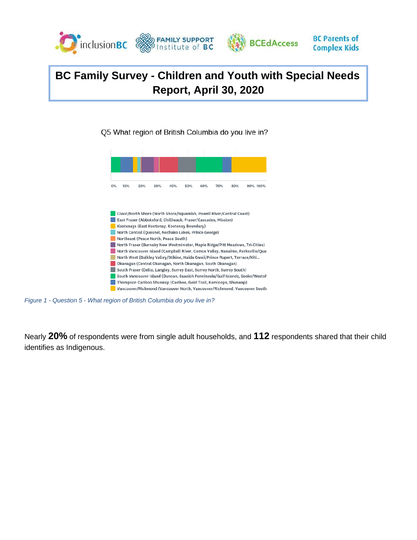

**BC Parents of** 

**Complex Kids** 

Q5 What region of British Columbia do you live in?





*Figure 1 - Question 5 - What region of British Columbia do you live in?*

Nearly **20%** of respondents were from single adult households, and **112** respondents shared that their child identifies as Indigenous.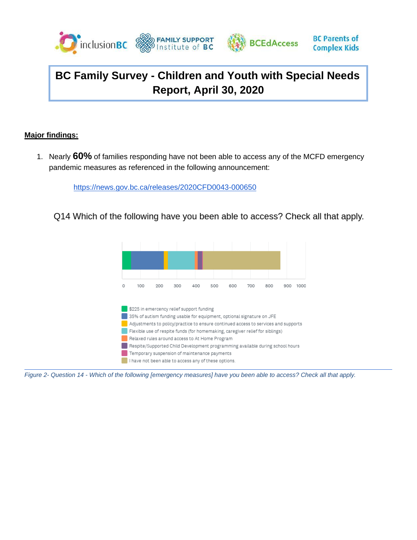



#### **Major findings:**

1. Nearly **60%** of families responding have not been able to access any of the MCFD emergency pandemic measures as referenced in the following announcement:

<https://news.gov.bc.ca/releases/2020CFD0043-000650>

Q14 Which of the following have you been able to access? Check all that apply.



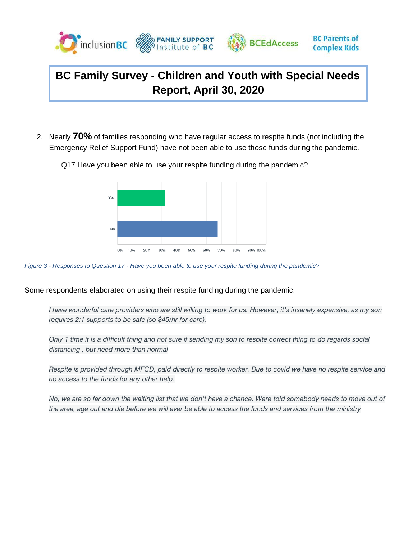

2. Nearly **70%** of families responding who have regular access to respite funds (not including the Emergency Relief Support Fund) have not been able to use those funds during the pandemic.



Q17 Have you been able to use your respite funding during the pandemic?



#### Some respondents elaborated on using their respite funding during the pandemic:

*I have wonderful care providers who are still willing to work for us. However, it's insanely expensive, as my son requires 2:1 supports to be safe (so \$45/hr for care).*

*Only 1 time it is a difficult thing and not sure if sending my son to respite correct thing to do regards social distancing , but need more than normal*

*Respite is provided through MFCD, paid directly to respite worker. Due to covid we have no respite service and no access to the funds for any other help.*

*No, we are so far down the waiting list that we don't have a chance. Were told somebody needs to move out of* the area, age out and die before we will ever be able to access the funds and services from the *ministry*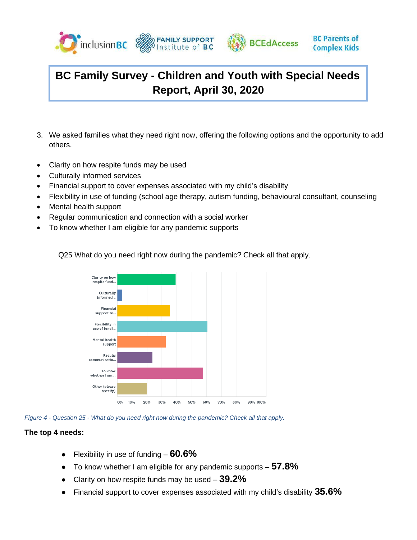



- 3. We asked families what they need right now, offering the following options and the opportunity to add others.
- Clarity on how respite funds may be used
- Culturally informed services
- Financial support to cover expenses associated with my child's disability
- Flexibility in use of funding (school age therapy, autism funding, behavioural consultant, counseling
- Mental health support
- Regular communication and connection with a social worker
- To know whether I am eligible for any pandemic supports

Q25 What do you need right now during the pandemic? Check all that apply.



*Figure 4 - Question 25 - What do you need right now during the pandemic? Check all that apply.*

#### **The top 4 needs:**

- Flexibility in use of funding **60.6%**
- To know whether I am eligible for any pandemic supports **57.8%**
- Clarity on how respite funds may be used **39.2%**
- Financial support to cover expenses associated with my child's disability **35.6%**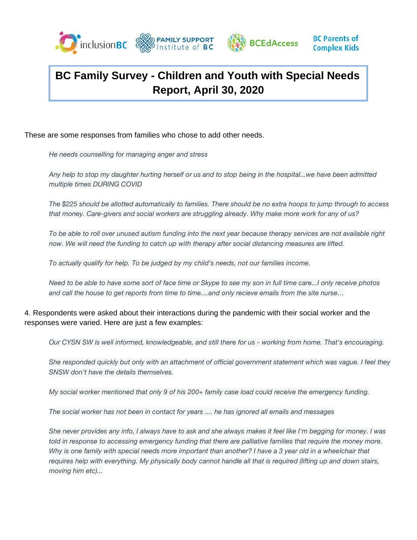



These are some responses from families who chose to add other needs.

*He needs counselling for managing anger and stress*

*Any help to stop my daughter hurting herself or us and to stop being in the hospital...we have been admitted multiple times DURING COVID*

*The \$225 should be allotted automatically to families. There should be no extra hoops to jump through to access that money. Care-givers and social workers are struggling already. Why make more work for any of us?*

*To be able to roll over unused autism funding into the next year because therapy services are not available right now. We will need the funding to catch up with therapy after social distancing measures are lifted.*

*To actually qualify for help. To be judged by my child's needs, not our families income.* 

*Need to be able to have some sort of face time or Skype to see my son in full time care...I only receive photos and call the house to get reports from time to time....and only recieve emails from the site nurse…*

4. Respondents were asked about their interactions during the pandemic with their social worker and the responses were varied. Here are just a few examples:

*Our CYSN SW is well informed, knowledgeable, and still there for us - working from home. That's encouraging.*

*She responded quickly but only with an attachment of official government statement which was vague. I feel they SNSW don't have the details themselves.*

*My social worker mentioned that only 9 of his 200+ family case load could receive the emergency funding.*

*The social worker has not been in contact for years .... he has ignored all emails and messages*

*She never provides any info, I always have to ask and she always makes it feel like I'm begging for money. I was*  told in response to accessing emergency funding that there are palliative families that require the money more. *Why is one family with special needs more important than another? I have a 3 year old in a wheelchair that* requires help with everything. My physically body cannot handle all that is required (lifting up and down stairs, *moving him etc)...*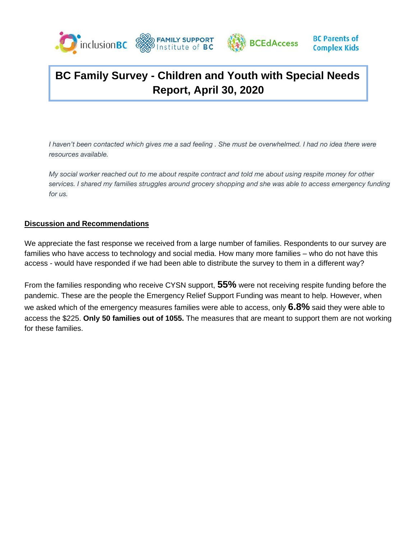



*I* haven't been contacted which gives me a sad feeling . She must be overwhelmed. I had no idea there were *resources available.*

*My social worker reached out to me about respite contract and told me about using respite money for other services. I shared my families struggles around grocery shopping and she was able to access emergency funding for us.*

#### **Discussion and Recommendations**

We appreciate the fast response we received from a large number of families. Respondents to our survey are families who have access to technology and social media. How many more families – who do not have this access - would have responded if we had been able to distribute the survey to them in a different way?

From the families responding who receive CYSN support, **55%** were not receiving respite funding before the pandemic. These are the people the Emergency Relief Support Funding was meant to help. However, when we asked which of the emergency measures families were able to access, only **6.8%** said they were able to access the \$225. **Only 50 families out of 1055.** The measures that are meant to support them are not working for these families.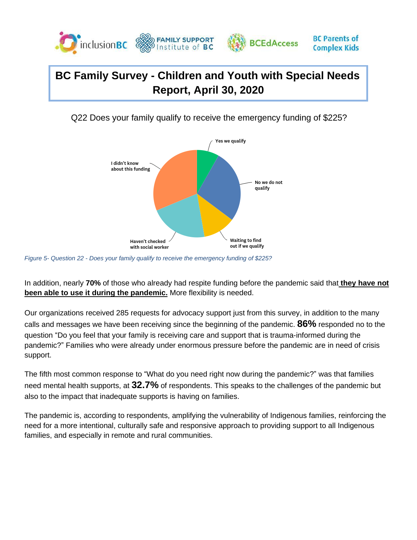

Q22 Does your family qualify to receive the emergency funding of \$225?



*Figure 5- Question 22 - Does your family qualify to receive the emergency funding of \$225?*

In addition, nearly **70%** of those who already had respite funding before the pandemic said that **they have not been able to use it during the pandemic.** More flexibility is needed.

Our organizations received 285 requests for advocacy support just from this survey, in addition to the many calls and messages we have been receiving since the beginning of the pandemic. **86%** responded no to the question "Do you feel that your family is receiving care and support that is trauma-informed during the pandemic?" Families who were already under enormous pressure before the pandemic are in need of crisis support.

The fifth most common response to "What do you need right now during the pandemic?" was that families need mental health supports, at **32.7%** of respondents. This speaks to the challenges of the pandemic but also to the impact that inadequate supports is having on families.

The pandemic is, according to respondents, amplifying the vulnerability of Indigenous families, reinforcing the need for a more intentional, culturally safe and responsive approach to providing support to all Indigenous families, and especially in remote and rural communities.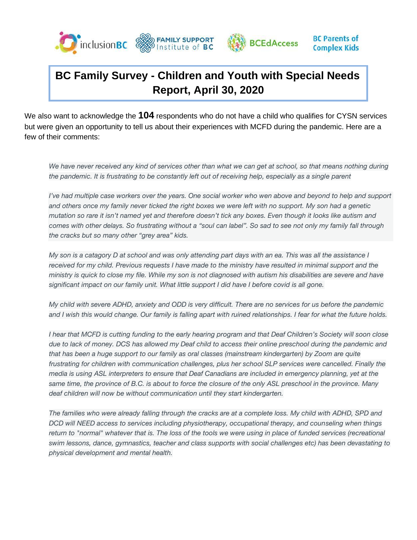



We also want to acknowledge the **104** respondents who do not have a child who qualifies for CYSN services but were given an opportunity to tell us about their experiences with MCFD during the pandemic. Here are a few of their comments:

We have never received any kind of services other than what we can get at school, so that means nothing during *the pandemic. It is frustrating to be constantly left out of receiving help, especially as a single parent*

*I've had multiple case workers over the years. One social worker who wen above and beyond to help and support and others once my family never ticked the right boxes we were left with no support. My son had a genetic mutation so rare it isn't named yet and therefore doesn't tick any boxes. Even though it looks like autism and comes with other delays. So frustrating without a "soul can label". So sad to see not only my family fall through the cracks but so many other "grey area" kids.*

*My son is a catagory D at school and was only attending part days with an ea. This was all the assistance I received for my child. Previous requests I have made to the ministry have resulted in minimal support and the ministry is quick to close my file. While my son is not diagnosed with autism his disabilities are severe and have significant impact on our family unit. What little support I did have I before covid is all gone.*

*My child with severe ADHD, anxiety and ODD is very difficult. There are no services for us before the pandemic and I wish this would change. Our family is falling apart with ruined relationships. I fear for what the future holds.*

*I hear that MCFD is cutting funding to the early hearing program and that Deaf Children's Society will soon close due to lack of money. DCS has allowed my Deaf child to access their online preschool during the pandemic and that has been a huge support to our family as oral classes (mainstream kindergarten) by Zoom are quite frustrating for children with communication challenges, plus her school SLP services were cancelled. Finally the media is using ASL interpreters to ensure that Deaf Canadians are included in emergency planning, yet at the same time, the province of B.C. is about to force the closure of the only ASL preschool in the province. Many deaf children will now be without communication until they start kindergarten.*

*The families who were already falling through the cracks are at a complete loss. My child with ADHD, SPD and DCD will NEED access to services including physiotherapy, occupational therapy, and counseling when things*  return to "normal" whatever that is. The loss of the tools we were using in place of funded services (recreational *swim lessons, dance, gymnastics, teacher and class supports with social challenges etc) has been devastating to physical development and mental health.*